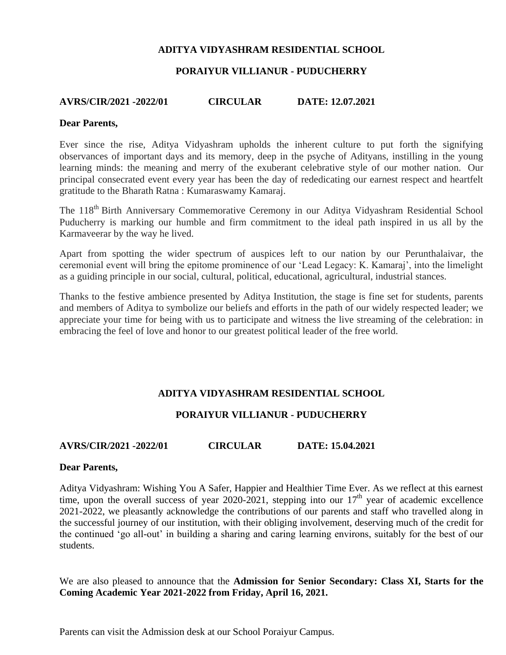## **ADITYA VIDYASHRAM RESIDENTIAL SCHOOL**

## **PORAIYUR VILLIANUR - PUDUCHERRY**

## **AVRS/CIR/2021 -2022/01 CIRCULAR DATE: 12.07.2021**

#### **Dear Parents,**

Ever since the rise, Aditya Vidyashram upholds the inherent culture to put forth the signifying observances of important days and its memory, deep in the psyche of Adityans, instilling in the young learning minds: the meaning and merry of the exuberant celebrative style of our mother nation. Our principal consecrated event every year has been the day of rededicating our earnest respect and heartfelt gratitude to the Bharath Ratna : Kumaraswamy Kamaraj.

The 118<sup>th</sup> Birth Anniversary Commemorative Ceremony in our Aditya Vidyashram Residential School Puducherry is marking our humble and firm commitment to the ideal path inspired in us all by the Karmaveerar by the way he lived.

Apart from spotting the wider spectrum of auspices left to our nation by our Perunthalaivar, the ceremonial event will bring the epitome prominence of our 'Lead Legacy: K. Kamaraj', into the limelight as a guiding principle in our social, cultural, political, educational, agricultural, industrial stances.

Thanks to the festive ambience presented by Aditya Institution, the stage is fine set for students, parents and members of Aditya to symbolize our beliefs and efforts in the path of our widely respected leader; we appreciate your time for being with us to participate and witness the live streaming of the celebration: in embracing the feel of love and honor to our greatest political leader of the free world.

## **ADITYA VIDYASHRAM RESIDENTIAL SCHOOL**

## **PORAIYUR VILLIANUR - PUDUCHERRY**

## **AVRS/CIR/2021 -2022/01 CIRCULAR DATE: 15.04.2021**

#### **Dear Parents,**

Aditya Vidyashram: Wishing You A Safer, Happier and Healthier Time Ever. As we reflect at this earnest time, upon the overall success of year 2020-2021, stepping into our  $17<sup>th</sup>$  year of academic excellence 2021-2022, we pleasantly acknowledge the contributions of our parents and staff who travelled along in the successful journey of our institution, with their obliging involvement, deserving much of the credit for the continued 'go all-out' in building a sharing and caring learning environs, suitably for the best of our students.

We are also pleased to announce that the **Admission for Senior Secondary: Class XI, Starts for the Coming Academic Year 2021-2022 from Friday, April 16, 2021.**

Parents can visit the Admission desk at our School Poraiyur Campus.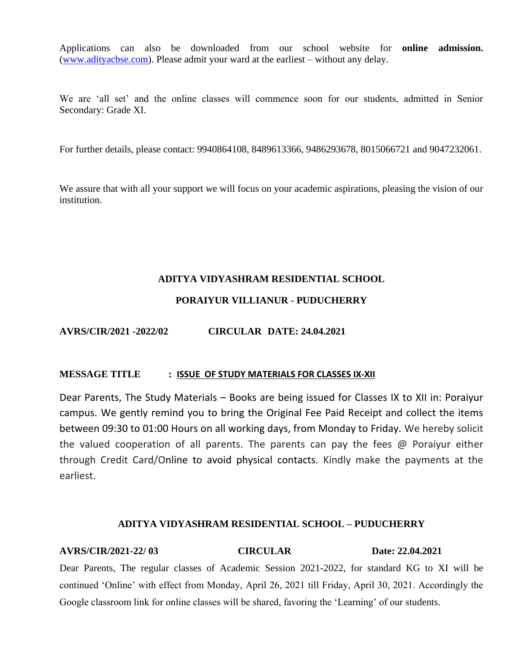Applications can also be downloaded from our school website for **online admission.** [\(www.adityacbse.com\)](http://www.adityacbse.com/). Please admit your ward at the earliest – without any delay.

We are 'all set' and the online classes will commence soon for our students, admitted in Senior Secondary: Grade XI.

For further details, please contact: 9940864108, 8489613366, 9486293678, 8015066721 and 9047232061.

We assure that with all your support we will focus on your academic aspirations, pleasing the vision of our institution.

## **ADITYA VIDYASHRAM RESIDENTIAL SCHOOL**

# **PORAIYUR VILLIANUR - PUDUCHERRY**

# **AVRS/CIR/2021 -2022/02 CIRCULAR DATE: 24.04.2021**

## **MESSAGE TITLE : ISSUE OF STUDY MATERIALS FOR CLASSES IX-XII**

Dear Parents, The Study Materials – Books are being issued for Classes IX to XII in: Poraiyur campus. We gently remind you to bring the Original Fee Paid Receipt and collect the items between 09:30 to 01:00 Hours on all working days, from Monday to Friday. We hereby solicit the valued cooperation of all parents. The parents can pay the fees @ Poraiyur either through Credit Card/Online to avoid physical contacts. Kindly make the payments at the earliest.

## **ADITYA VIDYASHRAM RESIDENTIAL SCHOOL – PUDUCHERRY**

# **AVRS/CIR/2021-22/ 03 CIRCULAR Date: 22.04.2021** Dear Parents, The regular classes of Academic Session 2021-2022, for standard KG to XI will be continued 'Online' with effect from Monday, April 26, 2021 till Friday, April 30, 2021. Accordingly the Google classroom link for online classes will be shared, favoring the 'Learning' of our students.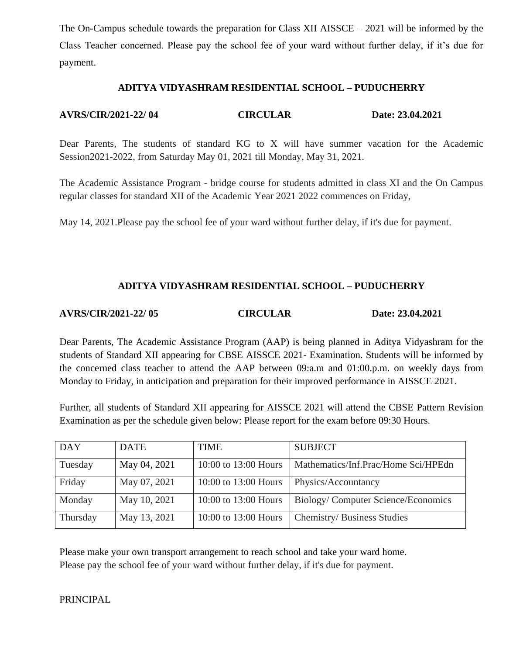The On-Campus schedule towards the preparation for Class XII AISSCE – 2021 will be informed by the Class Teacher concerned. Please pay the school fee of your ward without further delay, if it's due for payment.

## **ADITYA VIDYASHRAM RESIDENTIAL SCHOOL – PUDUCHERRY**

# **AVRS/CIR/2021-22/ 04 CIRCULAR Date: 23.04.2021**

Dear Parents, The students of standard KG to X will have summer vacation for the Academic Session2021-2022, from Saturday May 01, 2021 till Monday, May 31, 2021.

The Academic Assistance Program - bridge course for students admitted in class XI and the On Campus regular classes for standard XII of the Academic Year 2021 2022 commences on Friday,

May 14, 2021.Please pay the school fee of your ward without further delay, if it's due for payment.

## **ADITYA VIDYASHRAM RESIDENTIAL SCHOOL – PUDUCHERRY**

#### **AVRS/CIR/2021-22/ 05 CIRCULAR Date: 23.04.2021**

Dear Parents, The Academic Assistance Program (AAP) is being planned in Aditya Vidyashram for the students of Standard XII appearing for CBSE AISSCE 2021- Examination. Students will be informed by the concerned class teacher to attend the AAP between 09:a.m and 01:00.p.m. on weekly days from Monday to Friday, in anticipation and preparation for their improved performance in AISSCE 2021.

Further, all students of Standard XII appearing for AISSCE 2021 will attend the CBSE Pattern Revision Examination as per the schedule given below: Please report for the exam before 09:30 Hours.

| <b>DAY</b> | <b>DATE</b>  | <b>TIME</b>          | <b>SUBJECT</b>                      |
|------------|--------------|----------------------|-------------------------------------|
| Tuesday    | May 04, 2021 | 10:00 to 13:00 Hours | Mathematics/Inf.Prac/Home Sci/HPEdn |
| Friday     | May 07, 2021 | 10:00 to 13:00 Hours | Physics/Accountancy                 |
| Monday     | May 10, 2021 | 10:00 to 13:00 Hours | Biology/Computer Science/Economics  |
| Thursday   | May 13, 2021 | 10:00 to 13:00 Hours | Chemistry/ Business Studies         |

Please make your own transport arrangement to reach school and take your ward home. Please pay the school fee of your ward without further delay, if it's due for payment.

## PRINCIPAL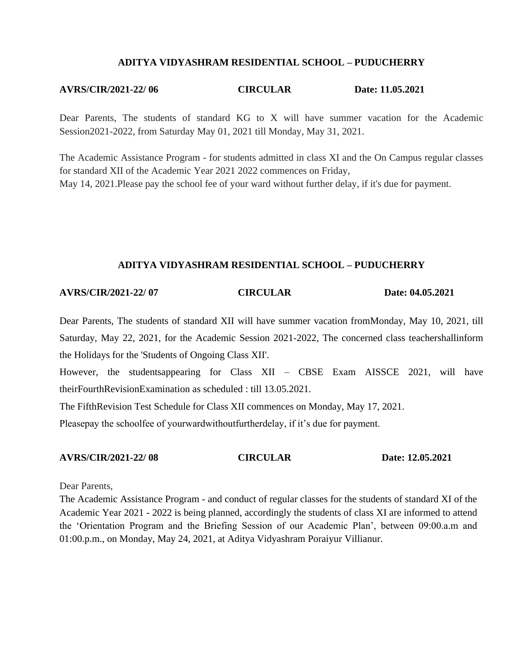#### **ADITYA VIDYASHRAM RESIDENTIAL SCHOOL – PUDUCHERRY**

#### **AVRS/CIR/2021-22/ 06 CIRCULAR Date: 11.05.2021**

Dear Parents, The students of standard KG to X will have summer vacation for the Academic Session2021-2022, from Saturday May 01, 2021 till Monday, May 31, 2021.

The Academic Assistance Program - for students admitted in class XI and the On Campus regular classes for standard XII of the Academic Year 2021 2022 commences on Friday, May 14, 2021.Please pay the school fee of your ward without further delay, if it's due for payment.

#### **ADITYA VIDYASHRAM RESIDENTIAL SCHOOL – PUDUCHERRY**

## **AVRS/CIR/2021-22/ 07 CIRCULAR Date: 04.05.2021**

Dear Parents, The students of standard XII will have summer vacation fromMonday, May 10, 2021, till Saturday, May 22, 2021, for the Academic Session 2021-2022, The concerned class teachershallinform the Holidays for the 'Students of Ongoing Class XII'.

However, the studentsappearing for Class XII – CBSE Exam AISSCE 2021, will have theirFourthRevisionExamination as scheduled : till 13.05.2021.

The FifthRevision Test Schedule for Class XII commences on Monday, May 17, 2021.

Pleasepay the schoolfee of yourwardwithoutfurtherdelay, if it's due for payment.

**AVRS/CIR/2021-22/ 08 CIRCULAR Date: 12.05.2021**

Dear Parents,

The Academic Assistance Program - and conduct of regular classes for the students of standard XI of the Academic Year 2021 - 2022 is being planned, accordingly the students of class XI are informed to attend the 'Orientation Program and the Briefing Session of our Academic Plan', between 09:00.a.m and 01:00.p.m., on Monday, May 24, 2021, at Aditya Vidyashram Poraiyur Villianur.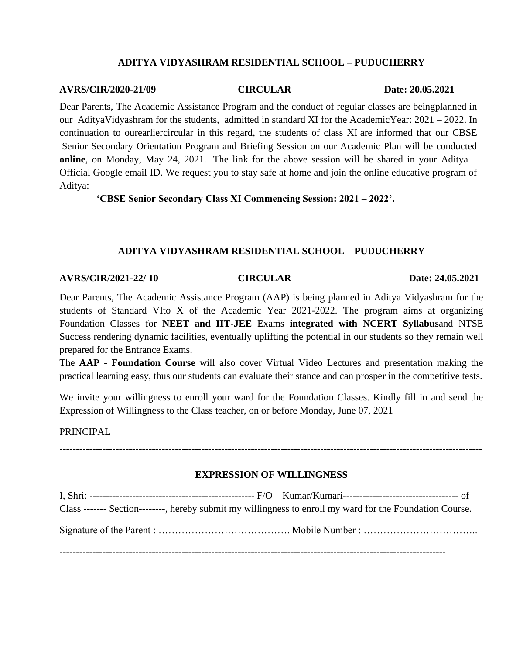## **ADITYA VIDYASHRAM RESIDENTIAL SCHOOL – PUDUCHERRY**

## **AVRS/CIR/2020-21/09 CIRCULAR Date: 20.05.2021**

Dear Parents, The Academic Assistance Program and the conduct of regular classes are beingplanned in our AdityaVidyashram for the students, admitted in standard XI for the AcademicYear: 2021 – 2022. In continuation to ourearliercircular in this regard, the students of class XI are informed that our CBSE Senior Secondary Orientation Program and Briefing Session on our Academic Plan will be conducted **online**, on Monday, May 24, 2021. The link for the above session will be shared in your Aditya – Official Google email ID. We request you to stay safe at home and join the online educative program of Aditya:

 **'CBSE Senior Secondary Class XI Commencing Session: 2021 – 2022'.**

## **ADITYA VIDYASHRAM RESIDENTIAL SCHOOL – PUDUCHERRY**

## **AVRS/CIR/2021-22/ 10 CIRCULAR Date: 24.05.2021**

Dear Parents, The Academic Assistance Program (AAP) is being planned in Aditya Vidyashram for the students of Standard VIto X of the Academic Year 2021-2022. The program aims at organizing Foundation Classes for **NEET and IIT-JEE** Exams **integrated with NCERT Syllabus**and NTSE Success rendering dynamic facilities, eventually uplifting the potential in our students so they remain well prepared for the Entrance Exams.

The **AAP - Foundation Course** will also cover Virtual Video Lectures and presentation making the practical learning easy, thus our students can evaluate their stance and can prosper in the competitive tests.

We invite your willingness to enroll your ward for the Foundation Classes. Kindly fill in and send the Expression of Willingness to the Class teacher, on or before Monday, June 07, 2021

PRINCIPAL

## **EXPRESSION OF WILLINGNESS**

--------------------------------------------------------------------------------------------------------------------------------

I, Shri: -------------------------------------------------- F/O – Kumar/Kumari----------------------------------- of Class ------- Section--------, hereby submit my willingness to enroll my ward for the Foundation Course. Signature of the Parent : …………………………………. Mobile Number : ……………………………..